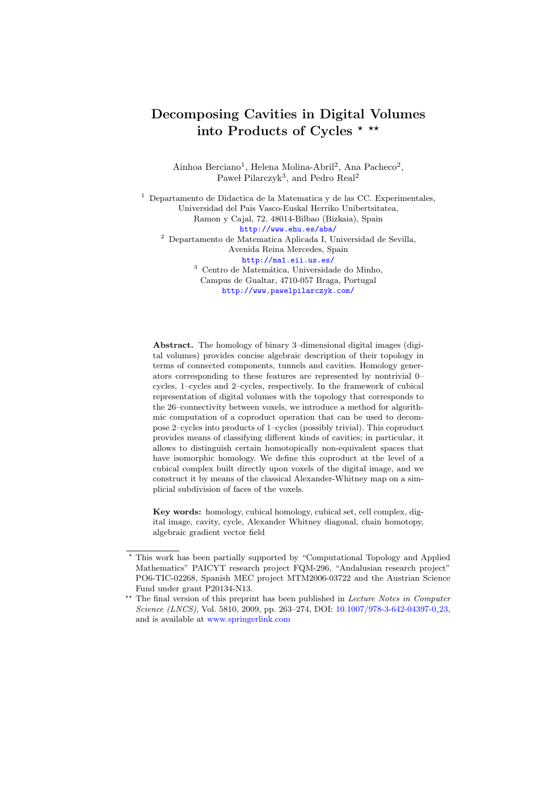# Decomposing Cavities in Digital Volumes into Products of Cycles  $***$

Ainhoa Berciano<sup>1</sup>, Helena Molina-Abril<sup>2</sup>, Ana Pacheco<sup>2</sup>, Pawel Pilarczyk<sup>3</sup>, and Pedro Real<sup>2</sup>

 $1$  Departamento de Didactica de la Matematica y de las CC. Experimentales, Universidad del Pais Vasco-Euskal Herriko Unibertsitatea, Ramon y Cajal, 72. 48014-Bilbao (Bizkaia), Spain <http://www.ehu.es/aba/>

<sup>2</sup> Departamento de Matematica Aplicada I, Universidad de Sevilla, Avenida Reina Mercedes, Spain

> <http://ma1.eii.us.es/> <sup>3</sup> Centro de Matemática, Universidade do Minho, Campus de Gualtar, 4710-057 Braga, Portugal <http://www.pawelpilarczyk.com/>

Abstract. The homology of binary 3–dimensional digital images (digital volumes) provides concise algebraic description of their topology in terms of connected components, tunnels and cavities. Homology generators corresponding to these features are represented by nontrivial 0– cycles, 1–cycles and 2–cycles, respectively. In the framework of cubical representation of digital volumes with the topology that corresponds to the 26–connectivity between voxels, we introduce a method for algorithmic computation of a coproduct operation that can be used to decompose 2–cycles into products of 1–cycles (possibly trivial). This coproduct provides means of classifying different kinds of cavities; in particular, it allows to distinguish certain homotopically non-equivalent spaces that have isomorphic homology. We define this coproduct at the level of a cubical complex built directly upon voxels of the digital image, and we construct it by means of the classical Alexander-Whitney map on a simplicial subdivision of faces of the voxels.

Key words: homology, cubical homology, cubical set, cell complex, digital image, cavity, cycle, Alexander Whitney diagonal, chain homotopy, algebraic gradient vector field

<sup>?</sup> This work has been partially supported by "Computational Topology and Applied Mathematics" PAICYT research project FQM-296, "Andalusian research project" PO6-TIC-02268, Spanish MEC project MTM2006-03722 and the Austrian Science Fund under grant P20134-N13.

<sup>\*\*</sup> The final version of this preprint has been published in Lecture Notes in Computer Science (LNCS), Vol. 5810, 2009, pp. 263-274, DOI: [10.1007/978-3-642-04397-0](http://dx.doi.org/10.1007/978-3-642-04397-0_23)\_23, and is available at [www.springerlink.com](http://www.springerlink.com/)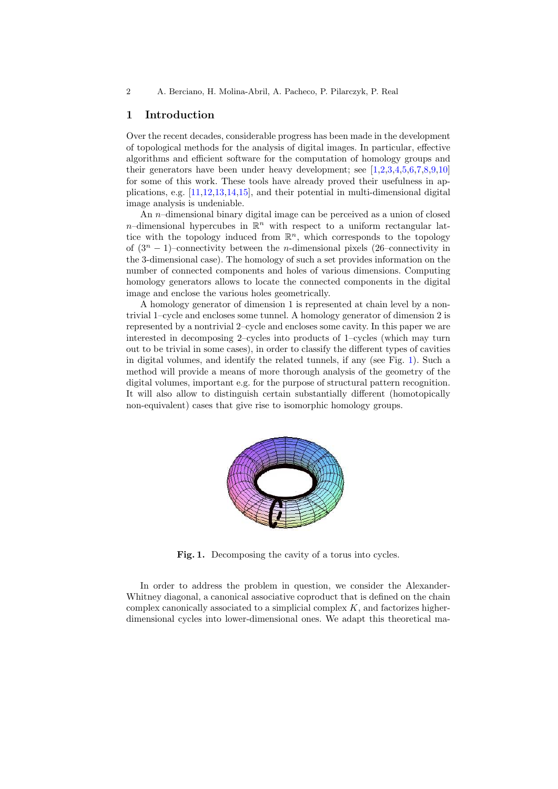2 A. Berciano, H. Molina-Abril, A. Pacheco, P. Pilarczyk, P. Real

#### 1 Introduction

Over the recent decades, considerable progress has been made in the development of topological methods for the analysis of digital images. In particular, effective algorithms and efficient software for the computation of homology groups and their generators have been under heavy development; see [\[1,](#page-9-0)[2,](#page-9-1)[3,](#page-9-2)[4,](#page-9-3)[5,](#page-9-4)[6,](#page-10-0)[7,](#page-10-1)[8,](#page-10-2)[9,](#page-10-3)[10\]](#page-10-4) for some of this work. These tools have already proved their usefulness in applications, e.g. [\[11,](#page-10-5)[12,](#page-10-6)[13](#page-10-7)[,14,](#page-10-8)[15\]](#page-10-9), and their potential in multi-dimensional digital image analysis is undeniable.

An n–dimensional binary digital image can be perceived as a union of closed *n*-dimensional hypercubes in  $\mathbb{R}^n$  with respect to a uniform rectangular lattice with the topology induced from  $\mathbb{R}^n$ , which corresponds to the topology of  $(3<sup>n</sup> - 1)$ –connectivity between the *n*-dimensional pixels (26–connectivity in the 3-dimensional case). The homology of such a set provides information on the number of connected components and holes of various dimensions. Computing homology generators allows to locate the connected components in the digital image and enclose the various holes geometrically.

A homology generator of dimension 1 is represented at chain level by a nontrivial 1–cycle and encloses some tunnel. A homology generator of dimension 2 is represented by a nontrivial 2–cycle and encloses some cavity. In this paper we are interested in decomposing 2–cycles into products of 1–cycles (which may turn out to be trivial in some cases), in order to classify the different types of cavities in digital volumes, and identify the related tunnels, if any (see Fig. [1\)](#page-1-0). Such a method will provide a means of more thorough analysis of the geometry of the digital volumes, important e.g. for the purpose of structural pattern recognition. It will also allow to distinguish certain substantially different (homotopically non-equivalent) cases that give rise to isomorphic homology groups.



Fig. 1. Decomposing the cavity of a torus into cycles.

<span id="page-1-0"></span>In order to address the problem in question, we consider the Alexander-Whitney diagonal, a canonical associative coproduct that is defined on the chain complex canonically associated to a simplicial complex  $K$ , and factorizes higherdimensional cycles into lower-dimensional ones. We adapt this theoretical ma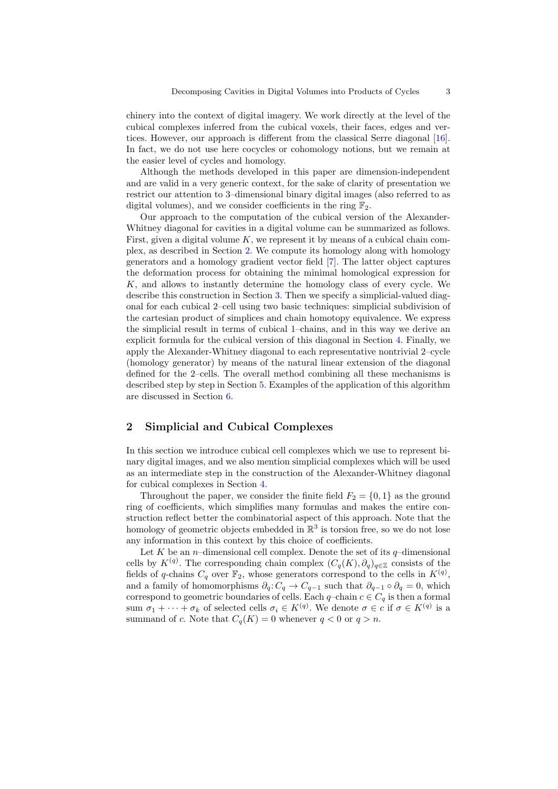chinery into the context of digital imagery. We work directly at the level of the cubical complexes inferred from the cubical voxels, their faces, edges and vertices. However, our approach is different from the classical Serre diagonal [\[16\]](#page-10-10). In fact, we do not use here cocycles or cohomology notions, but we remain at the easier level of cycles and homology.

Although the methods developed in this paper are dimension-independent and are valid in a very generic context, for the sake of clarity of presentation we restrict our attention to 3–dimensional binary digital images (also referred to as digital volumes), and we consider coefficients in the ring  $\mathbb{F}_2$ .

Our approach to the computation of the cubical version of the Alexander-Whitney diagonal for cavities in a digital volume can be summarized as follows. First, given a digital volume  $K$ , we represent it by means of a cubical chain complex, as described in Section [2.](#page-2-0) We compute its homology along with homology generators and a homology gradient vector field [\[7\]](#page-10-1). The latter object captures the deformation process for obtaining the minimal homological expression for K, and allows to instantly determine the homology class of every cycle. We describe this construction in Section [3.](#page-3-0) Then we specify a simplicial-valued diagonal for each cubical 2–cell using two basic techniques: simplicial subdivision of the cartesian product of simplices and chain homotopy equivalence. We express the simplicial result in terms of cubical 1–chains, and in this way we derive an explicit formula for the cubical version of this diagonal in Section [4.](#page-6-0) Finally, we apply the Alexander-Whitney diagonal to each representative nontrivial 2–cycle (homology generator) by means of the natural linear extension of the diagonal defined for the 2–cells. The overall method combining all these mechanisms is described step by step in Section [5.](#page-7-0) Examples of the application of this algorithm are discussed in Section [6.](#page-8-0)

# <span id="page-2-0"></span>2 Simplicial and Cubical Complexes

In this section we introduce cubical cell complexes which we use to represent binary digital images, and we also mention simplicial complexes which will be used as an intermediate step in the construction of the Alexander-Whitney diagonal for cubical complexes in Section [4.](#page-6-0)

Throughout the paper, we consider the finite field  $F_2 = \{0, 1\}$  as the ground ring of coefficients, which simplifies many formulas and makes the entire construction reflect better the combinatorial aspect of this approach. Note that the homology of geometric objects embedded in  $\mathbb{R}^3$  is torsion free, so we do not lose any information in this context by this choice of coefficients.

Let K be an *n*-dimensional cell complex. Denote the set of its  $q$ -dimensional cells by  $K^{(q)}$ . The corresponding chain complex  $(C_q(K), \partial_q)_{q \in \mathbb{Z}}$  consists of the fields of q-chains  $C_q$  over  $\mathbb{F}_2$ , whose generators correspond to the cells in  $K^{(q)}$ , and a family of homomorphisms  $\partial_q: C_q \to C_{q-1}$  such that  $\partial_{q-1} \circ \partial_q = 0$ , which correspond to geometric boundaries of cells. Each  $q$ –chain  $c \in C_q$  is then a formal sum  $\sigma_1 + \cdots + \sigma_k$  of selected cells  $\sigma_i \in K^{(q)}$ . We denote  $\sigma \in c$  if  $\sigma \in K^{(q)}$  is a summand of c. Note that  $C_q(K) = 0$  whenever  $q < 0$  or  $q > n$ .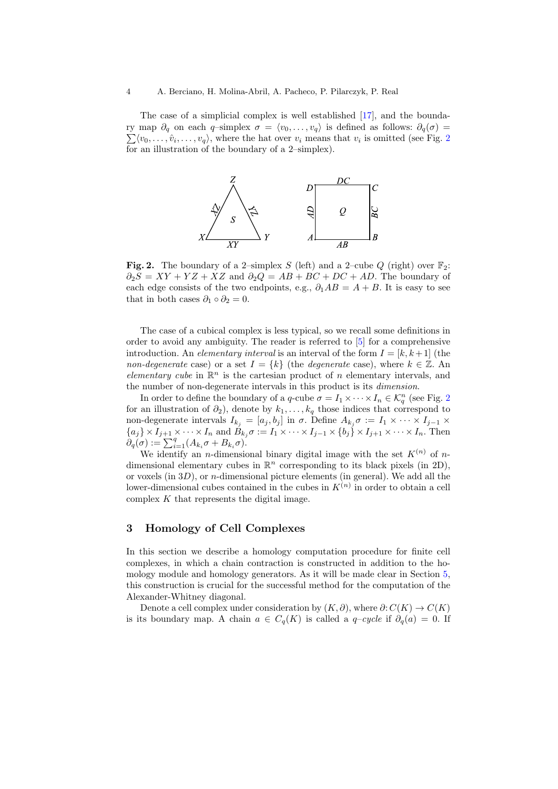The case of a simplicial complex is well established [\[17\]](#page-10-11), and the boundary map  $\partial_q$  on each q-simplex  $\sigma = \langle v_0, \ldots, v_q \rangle$  is defined as follows:  $\partial_q(\sigma) =$  $\sum \langle v_0, \ldots, \hat{v}_i, \ldots, v_q \rangle$ , where the hat over  $v_i$  means that  $v_i$  is omitted (see Fig. [2](#page-3-1)) for an illustration of the boundary of a 2–simplex).



<span id="page-3-1"></span>**Fig. 2.** The boundary of a 2–simplex S (left) and a 2–cube Q (right) over  $\mathbb{F}_2$ :  $\partial_2S = XY + YZ + XZ$  and  $\partial_2Q = AB + BC + DC + AD$ . The boundary of each edge consists of the two endpoints, e.g.,  $\partial_1 AB = A + B$ . It is easy to see that in both cases  $\partial_1 \circ \partial_2 = 0$ .

The case of a cubical complex is less typical, so we recall some definitions in order to avoid any ambiguity. The reader is referred to [\[5\]](#page-9-4) for a comprehensive introduction. An *elementary interval* is an interval of the form  $I = [k, k+1]$  (the non-degenerate case) or a set  $I = \{k\}$  (the degenerate case), where  $k \in \mathbb{Z}$ . An elementary cube in  $\mathbb{R}^n$  is the cartesian product of n elementary intervals, and the number of non-degenerate intervals in this product is its dimension.

In order to define the boundary of a q-cube  $\sigma = I_1 \times \cdots \times I_n \in \mathcal{K}_q^n$  (see Fig. [2](#page-3-1)) In order to define the boundary of a q-cube  $o = I_1 \times \cdots \times I_n \in \mathcal{N}_q$  (see Fig. 2)<br>for an illustration of  $\partial_2$ ), denote by  $k_1, \ldots, k_q$  those indices that correspond to non-degenerate intervals  $I_{k_j} = [a_j, b_j]$  in  $\sigma$ . Define  $A_{k_j} \sigma := I_1 \times \cdots \times I_{j-1} \times$  ${a_j} \times I_{j+1} \times \cdots \times I_n$  and  $B_{k_j} \sigma := I_1 \times \cdots \times I_{j-1} \times \{b_j\} \times I_{j+1} \times \cdots \times I_n$ . Then  $\partial_q(\sigma) := \sum_{i=1}^q (A_{k_i}\sigma + B_{k_i}\sigma).$ 

We identify an *n*-dimensional binary digital image with the set  $K^{(n)}$  of *n*dimensional elementary cubes in  $\mathbb{R}^n$  corresponding to its black pixels (in 2D), or voxels (in  $3D$ ), or *n*-dimensional picture elements (in general). We add all the lower-dimensional cubes contained in the cubes in  $K^{(n)}$  in order to obtain a cell complex  $K$  that represents the digital image.

# <span id="page-3-0"></span>3 Homology of Cell Complexes

In this section we describe a homology computation procedure for finite cell complexes, in which a chain contraction is constructed in addition to the homology module and homology generators. As it will be made clear in Section [5,](#page-7-0) this construction is crucial for the successful method for the computation of the Alexander-Whitney diagonal.

Denote a cell complex under consideration by  $(K, \partial)$ , where  $\partial: C(K) \to C(K)$ is its boundary map. A chain  $a \in C_q(K)$  is called a  $q$ -cycle if  $\partial_q(a) = 0$ . If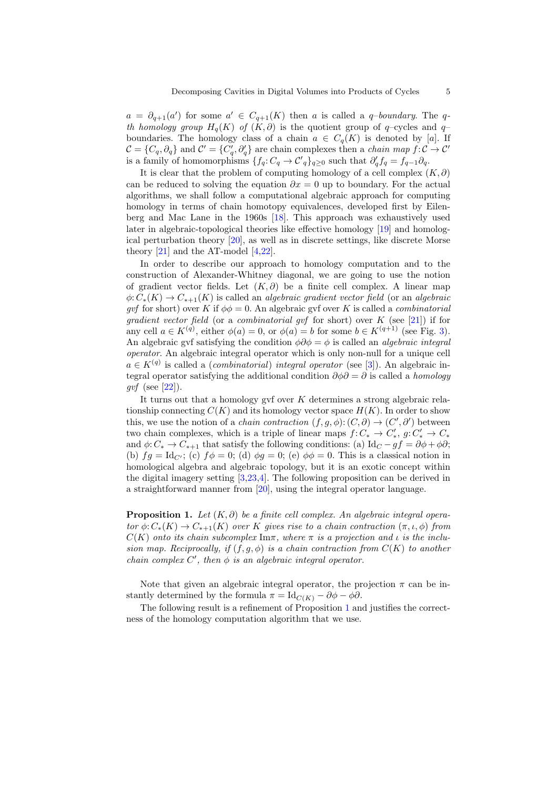$a = \partial_{q+1}(a')$  for some  $a' \in C_{q+1}(K)$  then a is called a q-boundary. The qth homology group  $H_q(K)$  of  $(K, \partial)$  is the quotient group of q–cycles and q– boundaries. The homology class of a chain  $a \in C_q(K)$  is denoted by [a]. If  $\mathcal{C} = \{C_q, \partial_q\}$  and  $\mathcal{C}' = \{C'_q, \partial'_q\}$  are chain complexes then a *chain map f:*  $\mathcal{C} \to \mathcal{C}'$ is a family of homomorphisms  $\{f_q: C_q \to C'_{q}\}_{q\geq 0}$  such that  $\partial'_q f_q = f_{q-1}\partial_q$ .

It is clear that the problem of computing homology of a cell complex  $(K, \partial)$ can be reduced to solving the equation  $\partial x = 0$  up to boundary. For the actual algorithms, we shall follow a computational algebraic approach for computing homology in terms of chain homotopy equivalences, developed first by Eilenberg and Mac Lane in the 1960s [\[18\]](#page-10-12). This approach was exhaustively used later in algebraic-topological theories like effective homology [\[19\]](#page-10-13) and homological perturbation theory [\[20\]](#page-10-14), as well as in discrete settings, like discrete Morse theory  $[21]$  and the AT-model  $[4,22]$  $[4,22]$ .

In order to describe our approach to homology computation and to the construction of Alexander-Whitney diagonal, we are going to use the notion of gradient vector fields. Let  $(K, \partial)$  be a finite cell complex. A linear map  $\phi: C_*(K) \to C_{*+1}(K)$  is called an *algebraic gradient vector field* (or an *algebraic* gvf for short) over K if  $\phi \phi = 0$ . An algebraic gvf over K is called a *combinatorial* gradient vector field (or a combinatorial gvf for short) over  $K$  (see [\[21\]](#page-10-15)) if for any cell  $a \in K^{(q)}$ , either  $\phi(a) = 0$ , or  $\phi(a) = b$  for some  $b \in K^{(q+1)}$  (see Fig. [3\)](#page-5-0). An algebraic gvf satisfying the condition  $\phi \partial \phi = \phi$  is called an *algebraic integral* operator. An algebraic integral operator which is only non-null for a unique cell  $a \in K^{(q)}$  is called a *(combinatorial) integral operator* (see [\[3\]](#page-9-2)). An algebraic integral operator satisfying the additional condition  $\partial \phi \partial = \partial$  is called a *homology*  $q\mathit{vf}$  (see [\[22\]](#page-10-16)).

It turns out that a homology gvf over K determines a strong algebraic relationship connecting  $C(K)$  and its homology vector space  $H(K)$ . In order to show this, we use the notion of a *chain contraction*  $(f, g, \phi): (C, \partial) \to (C', \partial')$  between two chain complexes, which is a triple of linear maps  $f: C_* \to C'_*, g: C'_* \to C_*$ and  $\phi: C_* \to C_{*+1}$  that satisfy the following conditions: (a) Id $_C - gf = \partial \phi + \phi \partial$ ; (b)  $fg = Id_{C'}$ ; (c)  $f\phi = 0$ ; (d)  $\phi g = 0$ ; (e)  $\phi \phi = 0$ . This is a classical notion in homological algebra and algebraic topology, but it is an exotic concept within the digital imagery setting [\[3](#page-9-2)[,23,](#page-10-17)[4\]](#page-9-3). The following proposition can be derived in a straightforward manner from [\[20\]](#page-10-14), using the integral operator language.

<span id="page-4-0"></span>**Proposition 1.** Let  $(K, \partial)$  be a finite cell complex. An algebraic integral operator  $\phi: C_*(K) \to C_{*+1}(K)$  over K gives rise to a chain contraction  $(\pi, \iota, \phi)$  from  $C(K)$  onto its chain subcomplex  $\text{Im}\pi$ , where  $\pi$  is a projection and  $\iota$  is the inclusion map. Reciprocally, if  $(f, g, \phi)$  is a chain contraction from  $C(K)$  to another chain complex  $C'$ , then  $\phi$  is an algebraic integral operator.

Note that given an algebraic integral operator, the projection  $\pi$  can be instantly determined by the formula  $\pi = \text{Id}_{C(K)} - \partial \phi - \phi \partial$ .

The following result is a refinement of Proposition [1](#page-4-0) and justifies the correctness of the homology computation algorithm that we use.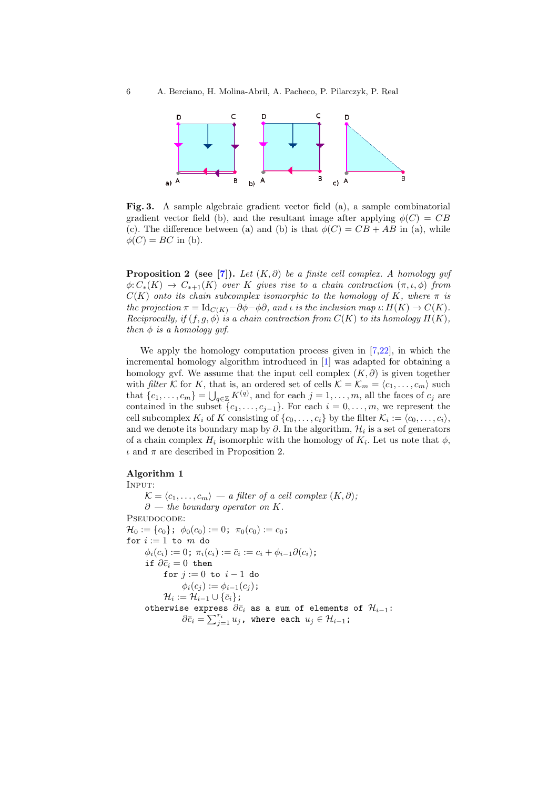

<span id="page-5-0"></span>Fig. 3. A sample algebraic gradient vector field (a), a sample combinatorial gradient vector field (b), and the resultant image after applying  $\phi(C) = CB$ (c). The difference between (a) and (b) is that  $\phi(C) = CB + AB$  in (a), while  $\phi(C) = BC$  in (b).

**Proposition 2** (see [\[7\]](#page-10-1)). Let  $(K, \partial)$  be a finite cell complex. A homology gvf  $\phi: C_*(K) \to C_{*+1}(K)$  over K gives rise to a chain contraction  $(\pi, \iota, \phi)$  from  $C(K)$  onto its chain subcomplex isomorphic to the homology of K, where  $\pi$  is the projection  $\pi = \text{Id}_{C(K)} - \partial \phi - \phi \partial$ , and  $\iota$  is the inclusion map  $\iota: H(K) \to C(K)$ . Reciprocally, if  $(f, g, \phi)$  is a chain contraction from  $C(K)$  to its homology  $H(K)$ , then  $\phi$  is a homology gvf.

We apply the homology computation process given in [\[7,](#page-10-1)[22\]](#page-10-16), in which the incremental homology algorithm introduced in [\[1\]](#page-9-0) was adapted for obtaining a homology gvf. We assume that the input cell complex  $(K, \partial)$  is given together with filter K for K, that is, an ordered set of cells  $\mathcal{K} = \mathcal{K}_m = \langle c_1, \ldots, c_m \rangle$  such that  $\{c_1, \ldots, c_m\} = \bigcup_{q \in \mathbb{Z}} K^{(q)}$ , and for each  $j = 1, \ldots, m$ , all the faces of  $c_j$  are contained in the subset  $\{c_1, \ldots, c_{i-1}\}$ . For each  $i = 0, \ldots, m$ , we represent the cell subcomplex  $K_i$  of K consisting of  $\{c_0, \ldots, c_i\}$  by the filter  $\mathcal{K}_i := \langle c_0, \ldots, c_i \rangle$ , and we denote its boundary map by  $\partial$ . In the algorithm,  $\mathcal{H}_i$  is a set of generators of a chain complex  $H_i$  isomorphic with the homology of  $K_i$ . Let us note that  $\phi$ ,  $\iota$  and  $\pi$  are described in Proposition 2.

#### <span id="page-5-1"></span>Algorithm 1

Input:  $\mathcal{K} = \langle c_1, \ldots, c_m \rangle - a$  filter of a cell complex  $(K, \partial);$  $\partial$  — the boundary operator on K. Pseudocode:  $\mathcal{H}_0 := \{c_0\}$ ;  $\phi_0(c_0) := 0$ ;  $\pi_0(c_0) := c_0$ ; for  $i := 1$  to  $m$  do  $\phi_i(c_i) := 0; \ \pi_i(c_i) := \bar{c}_i := c_i + \phi_{i-1}\partial(c_i);$ if  $\partial \bar{c}_i = 0$  then for  $j := 0$  to  $i - 1$  do  $\phi_i(c_j) := \phi_{i-1}(c_j);$  $\mathcal{H}_i := \mathcal{H}_{i-1} \cup \{\bar{c}_i\}$  ; otherwise express  $\partial \bar{c}_i$  as a sum of elements of  $\mathcal{H}_{i-1}$ :  $\partial \bar{c}_i = \sum_{j=1}^{r_i} u_j$ , where each  $u_j \in \mathcal{H}_{i-1}$ ;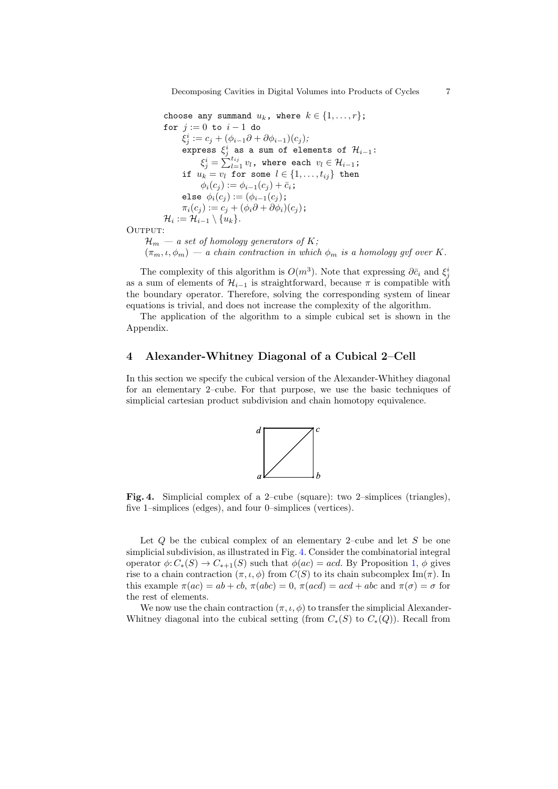Decomposing Cavities in Digital Volumes into Products of Cycles 7

choose any summand  $u_k$ , where  $k \in \{1, \ldots, r\}$ ; for  $j := 0$  to  $i - 1$  do  $\xi_j^i := c_j + (\phi_{i-1}\partial + \partial \phi_{i-1})(c_j);$ express  $\xi_j^i$  as a sum of elements of  $\mathcal{H}_{i-1}$ :  $\xi^i_j = \sum_{l=1}^{st_{ij}} v_l$ , where each  $v_l \in {\cal H}_{i-1}$ ; if  $u_k = v_l$  for some  $l \in \{1, \ldots, t_{ij}\}$  then  $\phi_i(c_j) := \phi_{i-1}(c_j) + \bar{c}_i;$ else  $\phi_i(c_j) := (\phi_{i-1}(c_j))$ ;  $\pi_i(c_j) := c_j + (\phi_i \partial + \partial \phi_i)(c_j);$  $\mathcal{H}_i := \mathcal{H}_{i-1} \setminus \{u_k\}.$ OUTPUT:

 $\mathcal{H}_m$  — a set of homology generators of K;  $(\pi_m, \iota, \phi_m)$  — a chain contraction in which  $\phi_m$  is a homology gvf over K.

The complexity of this algorithm is  $O(m^3)$ . Note that expressing  $\partial \bar{c}_i$  and  $\xi_j^i$ as a sum of elements of  $\mathcal{H}_{i-1}$  is straightforward, because  $\pi$  is compatible with the boundary operator. Therefore, solving the corresponding system of linear equations is trivial, and does not increase the complexity of the algorithm.

The application of the algorithm to a simple cubical set is shown in the Appendix.

#### <span id="page-6-0"></span>4 Alexander-Whitney Diagonal of a Cubical 2–Cell

In this section we specify the cubical version of the Alexander-Whithey diagonal for an elementary 2–cube. For that purpose, we use the basic techniques of simplicial cartesian product subdivision and chain homotopy equivalence.



<span id="page-6-1"></span>Fig. 4. Simplicial complex of a 2–cube (square): two 2–simplices (triangles), five 1–simplices (edges), and four 0–simplices (vertices).

Let  $Q$  be the cubical complex of an elementary 2–cube and let  $S$  be one simplicial subdivision, as illustrated in Fig. [4.](#page-6-1) Consider the combinatorial integral operator  $\phi: C_*(S) \to C_{*+1}(S)$  such that  $\phi(ac) = acd$ . By Proposition [1,](#page-4-0)  $\phi$  gives rise to a chain contraction  $(\pi, \iota, \phi)$  from  $C(S)$  to its chain subcomplex Im( $\pi$ ). In this example  $\pi(ac) = ab + cb$ ,  $\pi(abc) = 0$ ,  $\pi(acd) = acd + abc$  and  $\pi(\sigma) = \sigma$  for the rest of elements.

We now use the chain contraction  $(\pi, \iota, \phi)$  to transfer the simplicial Alexander-Whitney diagonal into the cubical setting (from  $C_*(S)$  to  $C_*(Q)$ ). Recall from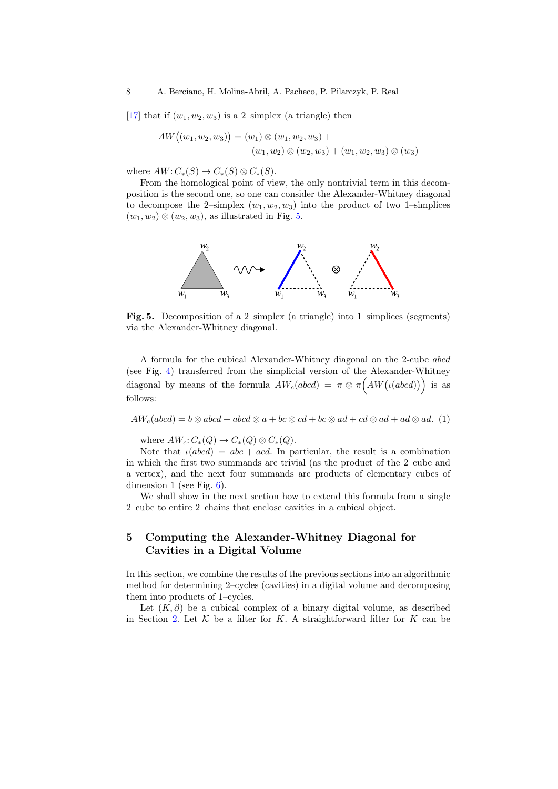[\[17\]](#page-10-11) that if  $(w_1, w_2, w_3)$  is a 2-simplex (a triangle) then

$$
AW((w_1, w_2, w_3)) = (w_1) \otimes (w_1, w_2, w_3) ++(w_1, w_2) \otimes (w_2, w_3) + (w_1, w_2, w_3) \otimes (w_3)
$$

where  $AW: C_*(S) \to C_*(S) \otimes C_*(S)$ .

From the homological point of view, the only nontrivial term in this decomposition is the second one, so one can consider the Alexander-Whitney diagonal to decompose the 2–simplex  $(w_1, w_2, w_3)$  into the product of two 1–simplices  $(w_1, w_2) \otimes (w_2, w_3)$ , as illustrated in Fig. [5.](#page-7-1)



<span id="page-7-1"></span>Fig. 5. Decomposition of a 2–simplex (a triangle) into 1–simplices (segments) via the Alexander-Whitney diagonal.

A formula for the cubical Alexander-Whitney diagonal on the 2-cube abcd (see Fig. [4\)](#page-6-1) transferred from the simplicial version of the Alexander-Whitney diagonal by means of the formula  $AW_c(abcd) = \pi \otimes \pi \Big(AW(\iota(abcd)\Big)$  is as follows:

<span id="page-7-2"></span> $AW_c(abcd) = b \otimes abcd + abcd \otimes a + bc \otimes cd + bc \otimes ad + cd \otimes ad + ad \otimes ad.$  (1)

where  $AW_c: C_*(Q) \to C_*(Q) \otimes C_*(Q)$ .

Note that  $\iota(abcd) = abc + acd$ . In particular, the result is a combination in which the first two summands are trivial (as the product of the 2–cube and a vertex), and the next four summands are products of elementary cubes of dimension 1 (see Fig.  $6$ ).

We shall show in the next section how to extend this formula from a single 2–cube to entire 2–chains that enclose cavities in a cubical object.

# <span id="page-7-0"></span>5 Computing the Alexander-Whitney Diagonal for Cavities in a Digital Volume

In this section, we combine the results of the previous sections into an algorithmic method for determining 2–cycles (cavities) in a digital volume and decomposing them into products of 1–cycles.

Let  $(K, \partial)$  be a cubical complex of a binary digital volume, as described in Section [2.](#page-2-0) Let  $K$  be a filter for K. A straightforward filter for K can be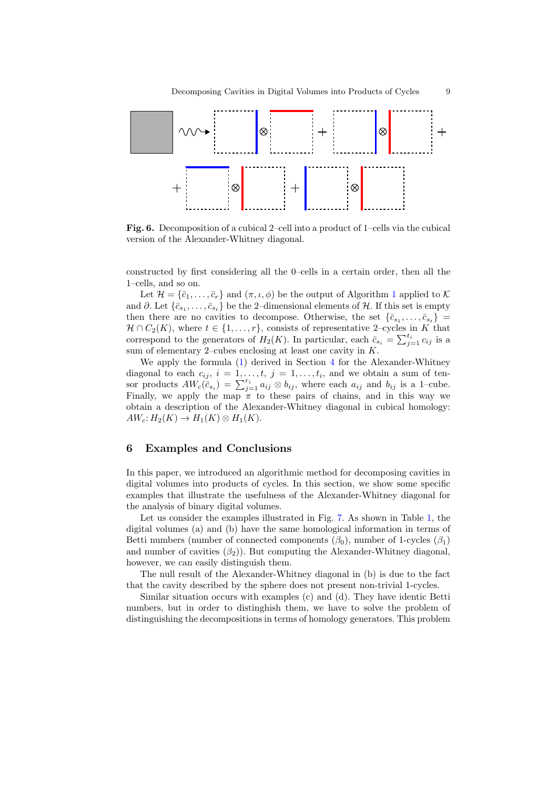

<span id="page-8-1"></span>Fig. 6. Decomposition of a cubical 2–cell into a product of 1–cells via the cubical version of the Alexander-Whitney diagonal.

constructed by first considering all the 0–cells in a certain order, then all the 1–cells, and so on.

Let  $\mathcal{H} = \{\bar{c}_1, \ldots, \bar{c}_r\}$  $\mathcal{H} = \{\bar{c}_1, \ldots, \bar{c}_r\}$  $\mathcal{H} = \{\bar{c}_1, \ldots, \bar{c}_r\}$  and  $(\pi, \iota, \phi)$  be the output of Algorithm 1 applied to K and  $\partial$ . Let  $\{\bar{c}_{s_1}, \ldots, \bar{c}_{s_t}\}$  be the 2-dimensional elements of  $\mathcal{H}$ . If this set is empty then there are no cavities to decompose. Otherwise, the set  $\{\bar{c}_{s_1}, \ldots, \bar{c}_{s_t}\}$  $\mathcal{H} \cap C_2(K)$ , where  $t \in \{1, \ldots, r\}$ , consists of representative 2-cycles in K that correspond to the generators of  $H_2(K)$ . In particular, each  $\bar{c}_{s_i} = \sum_{j=1}^{t_i} c_{ij}$  is a sum of elementary 2–cubes enclosing at least one cavity in  $K$ .

We apply the formula [\(1\)](#page-7-2) derived in Section [4](#page-6-0) for the Alexander-Whitney diagonal to each  $c_{ij}$ ,  $i = 1, \ldots, t$ ,  $j = 1, \ldots, t_i$ , and we obtain a sum of tensor products  $AW_c(\bar{c}_{s_i}) = \sum_{j=1}^{r_i} a_{ij} \otimes b_{ij}$ , where each  $a_{ij}$  and  $b_{ij}$  is a 1-cube. Finally, we apply the map  $\pi$  to these pairs of chains, and in this way we obtain a description of the Alexander-Whitney diagonal in cubical homology:  $AW_c: H_2(K) \rightarrow H_1(K) \otimes H_1(K).$ 

#### <span id="page-8-0"></span>6 Examples and Conclusions

In this paper, we introduced an algorithmic method for decomposing cavities in digital volumes into products of cycles. In this section, we show some specific examples that illustrate the usefulness of the Alexander-Whitney diagonal for the analysis of binary digital volumes.

Let us consider the examples illustrated in Fig. [7.](#page-9-5) As shown in Table [1,](#page-9-6) the digital volumes (a) and (b) have the same homological information in terms of Betti numbers (number of connected components  $(\beta_0)$ , number of 1-cycles  $(\beta_1)$ ) and number of cavities  $(\beta_2)$ ). But computing the Alexander-Whitney diagonal, however, we can easily distinguish them.

The null result of the Alexander-Whitney diagonal in (b) is due to the fact that the cavity described by the sphere does not present non-trivial 1-cycles.

Similar situation occurs with examples (c) and (d). They have identic Betti numbers, but in order to distinghish them, we have to solve the problem of distinguishing the decompositions in terms of homology generators. This problem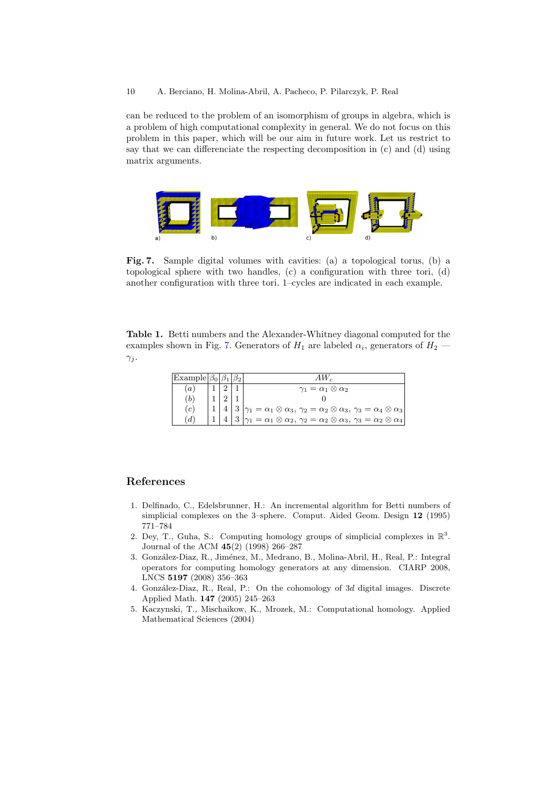can be reduced to the problem of an isomorphism of groups in algebra, which is a problem of high computational complexity in general. We do not focus on this problem in this paper, which will be our aim in future work. Let us restrict to say that we can differenciate the respecting decomposition in (c) and (d) using matrix arguments.



<span id="page-9-5"></span>Fig. 7. Sample digital volumes with cavities: (a) a topological torus, (b) a topological sphere with two handles, (c) a configuration with three tori, (d) another configuration with three tori. 1–cycles are indicated in each example.

<span id="page-9-6"></span>Table 1. Betti numbers and the Alexander-Whitney diagonal computed for the examples shown in Fig. [7.](#page-9-5) Generators of  $H_1$  are labeled  $\alpha_i$ , generators of  $H_2$  —  $\gamma_j$ .

| $\sqrt{\text{Example} \beta_0 \beta_1 \beta_2 }$ |  | AW.                                                                                                                                           |
|--------------------------------------------------|--|-----------------------------------------------------------------------------------------------------------------------------------------------|
| (a)                                              |  | $\gamma_1 = \alpha_1 \otimes \alpha_2$                                                                                                        |
| (b)                                              |  |                                                                                                                                               |
| (c)                                              |  | $1 \mid 4 \mid 3 \mid \gamma_1 = \alpha_1 \otimes \alpha_3, \, \gamma_2 = \alpha_2 \otimes \alpha_3, \, \gamma_3 = \alpha_4 \otimes \alpha_3$ |
| (d)                                              |  | $4 3 \gamma_1 = \alpha_1 \otimes \alpha_2, \gamma_2 = \alpha_2 \otimes \alpha_3, \gamma_3 = \alpha_2 \otimes \alpha_4$                        |

# References

- <span id="page-9-0"></span>1. Delfinado, C., Edelsbrunner, H.: An incremental algorithm for Betti numbers of simplicial complexes on the 3–sphere. Comput. Aided Geom. Design 12 (1995) 771–784
- <span id="page-9-1"></span>2. Dey, T., Guha, S.: Computing homology groups of simplicial complexes in  $\mathbb{R}^3$ . Journal of the ACM 45(2) (1998) 266–287
- <span id="page-9-2"></span>3. González-Diaz, R., Jiménez, M., Medrano, B., Molina-Abril, H., Real, P.: Integral operators for computing homology generators at any dimension. CIARP 2008, LNCS 5197 (2008) 356–363
- <span id="page-9-3"></span>4. González-Diaz, R., Real, P.: On the cohomology of 3d digital images. Discrete Applied Math. 147 (2005) 245–263
- <span id="page-9-4"></span>5. Kaczynski, T., Mischaikow, K., Mrozek, M.: Computational homology. Applied Mathematical Sciences (2004)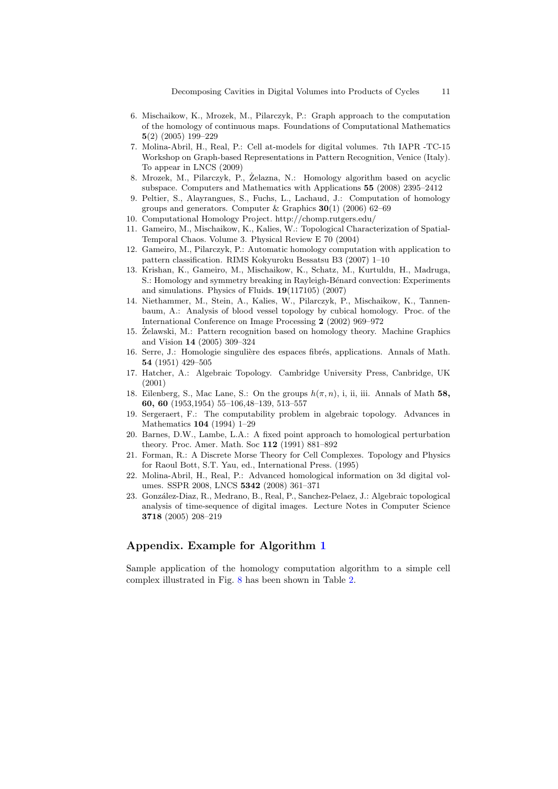- <span id="page-10-0"></span>6. Mischaikow, K., Mrozek, M., Pilarczyk, P.: Graph approach to the computation of the homology of continuous maps. Foundations of Computational Mathematics 5(2) (2005) 199–229
- <span id="page-10-1"></span>7. Molina-Abril, H., Real, P.: Cell at-models for digital volumes. 7th IAPR -TC-15 Workshop on Graph-based Representations in Pattern Recognition, Venice (Italy). To appear in LNCS (2009)
- <span id="page-10-2"></span>8. Mrozek, M., Pilarczyk, P., Żelazna, N.: Homology algorithm based on acyclic subspace. Computers and Mathematics with Applications 55 (2008) 2395–2412
- <span id="page-10-3"></span>9. Peltier, S., Alayrangues, S., Fuchs, L., Lachaud, J.: Computation of homology groups and generators. Computer & Graphics  $30(1)$  (2006) 62–69
- <span id="page-10-4"></span>10. Computational Homology Project. http://chomp.rutgers.edu/
- <span id="page-10-5"></span>11. Gameiro, M., Mischaikow, K., Kalies, W.: Topological Characterization of Spatial-Temporal Chaos. Volume 3. Physical Review E 70 (2004)
- <span id="page-10-6"></span>12. Gameiro, M., Pilarczyk, P.: Automatic homology computation with application to pattern classification. RIMS Kokyuroku Bessatsu B3 (2007) 1–10
- <span id="page-10-7"></span>13. Krishan, K., Gameiro, M., Mischaikow, K., Schatz, M., Kurtuldu, H., Madruga, S.: Homology and symmetry breaking in Rayleigh-Bénard convection: Experiments and simulations. Physics of Fluids. 19(117105) (2007)
- <span id="page-10-8"></span>14. Niethammer, M., Stein, A., Kalies, W., Pilarczyk, P., Mischaikow, K., Tannenbaum, A.: Analysis of blood vessel topology by cubical homology. Proc. of the International Conference on Image Processing 2 (2002) 969–972
- <span id="page-10-9"></span>15. Zelawski, M.: Pattern recognition based on homology theory. Machine Graphics ˙ and Vision 14 (2005) 309–324
- <span id="page-10-10"></span>16. Serre, J.: Homologie singulière des espaces fibrés, applications. Annals of Math. 54 (1951) 429–505
- <span id="page-10-11"></span>17. Hatcher, A.: Algebraic Topology. Cambridge University Press, Canbridge, UK (2001)
- <span id="page-10-12"></span>18. Eilenberg, S., Mac Lane, S.: On the groups  $h(\pi, n)$ , i, ii, iii. Annals of Math 58, 60, 60 (1953,1954) 55–106,48–139, 513–557
- <span id="page-10-13"></span>19. Sergeraert, F.: The computability problem in algebraic topology. Advances in Mathematics 104 (1994) 1–29
- <span id="page-10-14"></span>20. Barnes, D.W., Lambe, L.A.: A fixed point approach to homological perturbation theory. Proc. Amer. Math. Soc 112 (1991) 881–892
- <span id="page-10-15"></span>21. Forman, R.: A Discrete Morse Theory for Cell Complexes. Topology and Physics for Raoul Bott, S.T. Yau, ed., International Press. (1995)
- <span id="page-10-16"></span>22. Molina-Abril, H., Real, P.: Advanced homological information on 3d digital volumes. SSPR 2008, LNCS 5342 (2008) 361–371
- <span id="page-10-17"></span>23. Gonz´alez-Diaz, R., Medrano, B., Real, P., Sanchez-Pelaez, J.: Algebraic topological analysis of time-sequence of digital images. Lecture Notes in Computer Science 3718 (2005) 208–219

### Appendix. Example for Algorithm [1](#page-5-1)

Sample application of the homology computation algorithm to a simple cell complex illustrated in Fig. [8](#page-11-0) has been shown in Table [2.](#page-11-1)